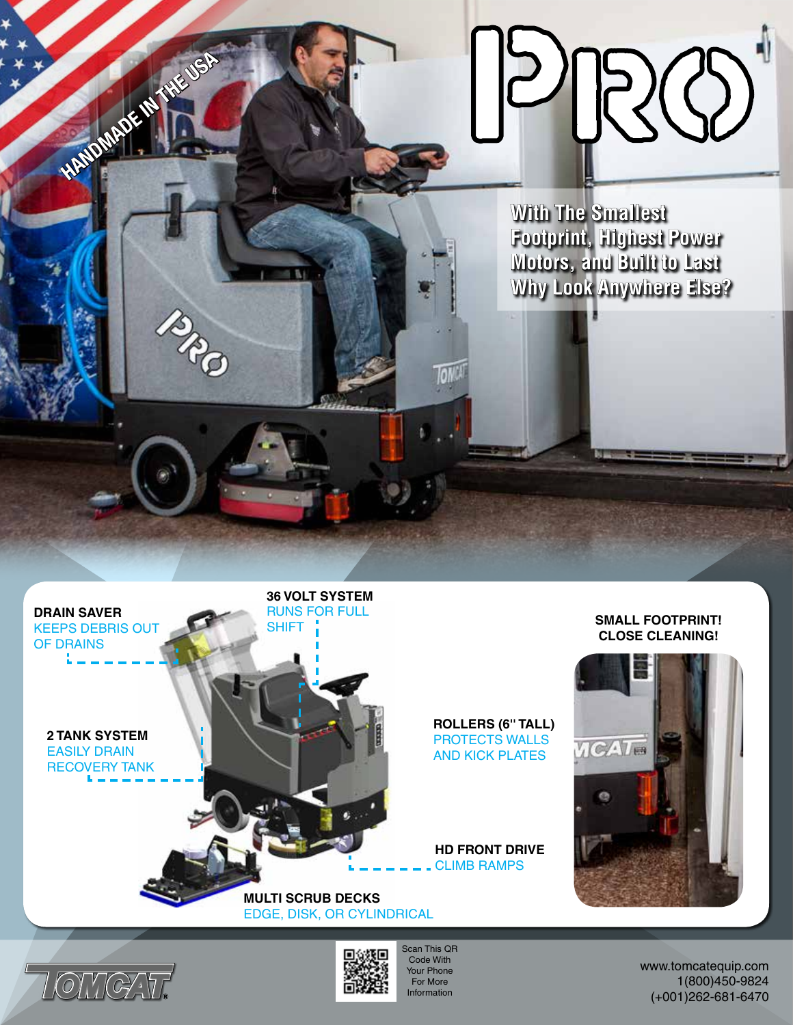**With The Smallest Footprint, Highest Power Motors, and Built to Last Why Look Anywhere Else?**

## **SMALL FOOTPRINT! CLOSE CLEANING!**



**ROLLERS (6'' TALL)** PROTECTS WALLS AND KICK PLATES

**HD FRONT DRIVE** CLIMB RAMPS

**MULTI SCRUB DECKS** EDGE, DISK, OR CYLINDRICAL

**36 VOLT SYSTEM** RUNS FOR FULL

**SHIFT** 



**DRAIN SAVER** KEEPS DEBRIS OUT

**HANDMADE IN THE USA** 

**2 TANK SYSTEM** EASILY DRAIN RECOVERY TANK

OF DRAINS



Scan This QR Code With Your Phone For More Information

www.tomcatequip.com 1(800)450-9824 (+001)262-681-6470